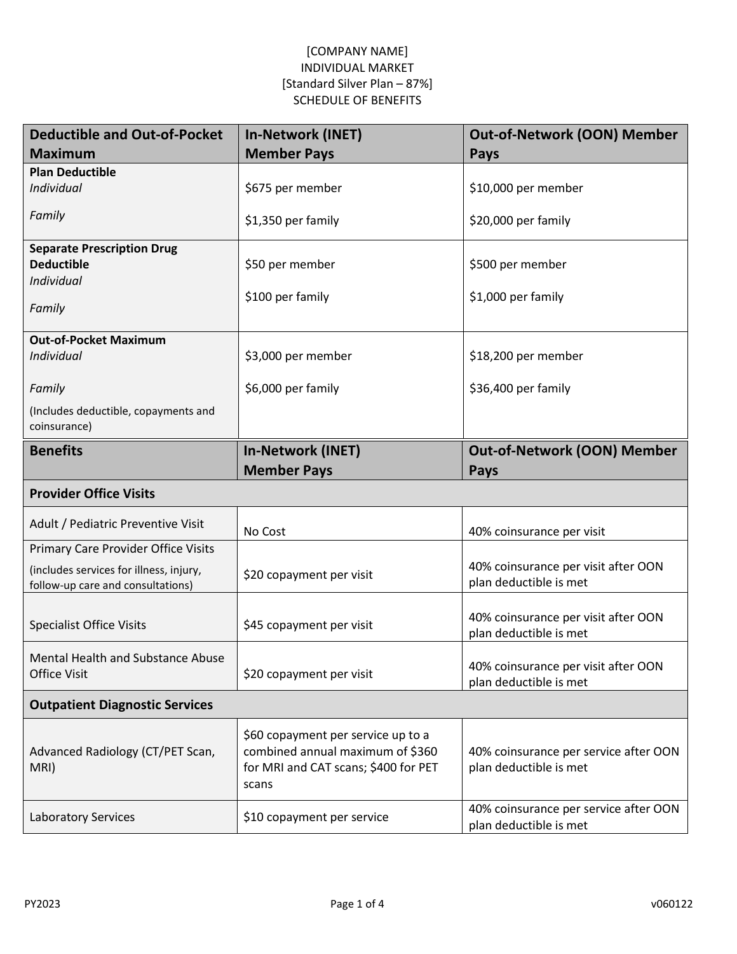| <b>Deductible and Out-of-Pocket</b>                      | <b>In-Network (INET)</b>                                               | <b>Out-of-Network (OON) Member</b>                            |
|----------------------------------------------------------|------------------------------------------------------------------------|---------------------------------------------------------------|
| <b>Maximum</b>                                           | <b>Member Pays</b>                                                     | <b>Pays</b>                                                   |
| <b>Plan Deductible</b>                                   |                                                                        |                                                               |
| Individual                                               | \$675 per member                                                       | \$10,000 per member                                           |
| Family                                                   | \$1,350 per family                                                     | \$20,000 per family                                           |
| <b>Separate Prescription Drug</b>                        |                                                                        |                                                               |
| <b>Deductible</b>                                        | \$50 per member                                                        | \$500 per member                                              |
| Individual                                               | \$100 per family                                                       | \$1,000 per family                                            |
| Family                                                   |                                                                        |                                                               |
|                                                          |                                                                        |                                                               |
| <b>Out-of-Pocket Maximum</b>                             |                                                                        |                                                               |
| Individual                                               | \$3,000 per member                                                     | \$18,200 per member                                           |
| Family                                                   | \$6,000 per family                                                     | \$36,400 per family                                           |
| (Includes deductible, copayments and<br>coinsurance)     |                                                                        |                                                               |
| <b>Benefits</b>                                          | <b>In-Network (INET)</b>                                               | <b>Out-of-Network (OON) Member</b>                            |
|                                                          | <b>Member Pays</b>                                                     | Pays                                                          |
| <b>Provider Office Visits</b>                            |                                                                        |                                                               |
| Adult / Pediatric Preventive Visit                       | No Cost                                                                | 40% coinsurance per visit                                     |
|                                                          |                                                                        |                                                               |
| Primary Care Provider Office Visits                      |                                                                        |                                                               |
| (includes services for illness, injury,                  |                                                                        | 40% coinsurance per visit after OON                           |
| follow-up care and consultations)                        | \$20 copayment per visit                                               | plan deductible is met                                        |
| <b>Specialist Office Visits</b>                          | \$45 copayment per visit                                               | 40% coinsurance per visit after OON<br>plan deductible is met |
|                                                          |                                                                        |                                                               |
| Mental Health and Substance Abuse<br><b>Office Visit</b> |                                                                        | 40% coinsurance per visit after OON                           |
|                                                          | \$20 copayment per visit                                               | plan deductible is met                                        |
| <b>Outpatient Diagnostic Services</b>                    |                                                                        |                                                               |
|                                                          |                                                                        |                                                               |
| Advanced Radiology (CT/PET Scan,                         | \$60 copayment per service up to a<br>combined annual maximum of \$360 | 40% coinsurance per service after OON                         |
| MRI)                                                     | for MRI and CAT scans; \$400 for PET                                   | plan deductible is met                                        |
|                                                          | scans                                                                  |                                                               |
| <b>Laboratory Services</b>                               | \$10 copayment per service                                             | 40% coinsurance per service after OON                         |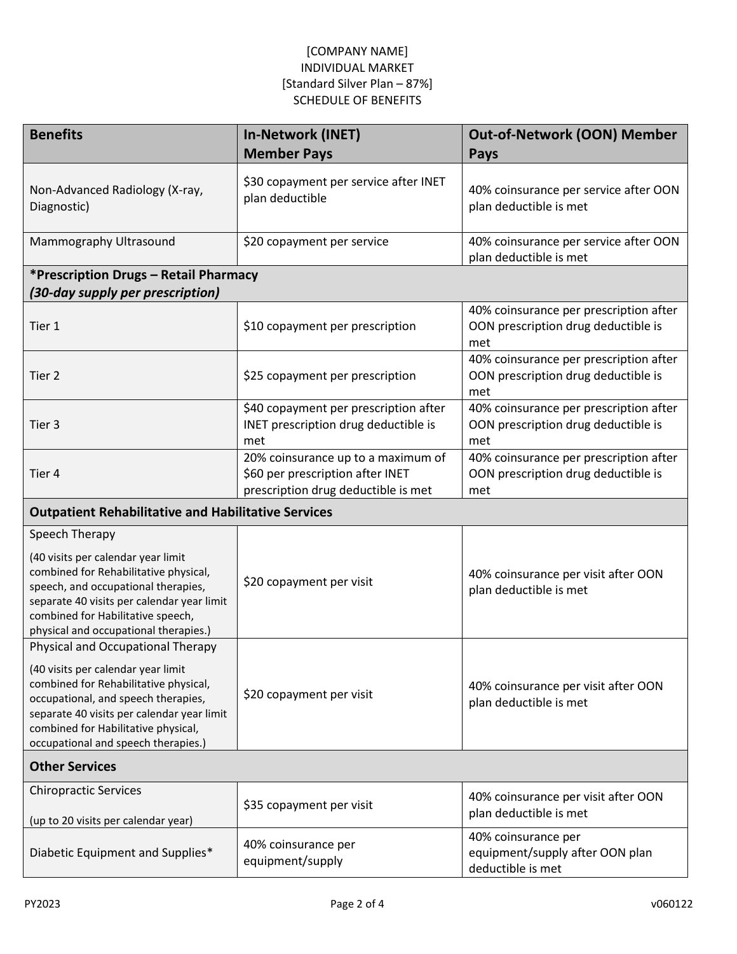| <b>Benefits</b>                                                                                                                                                                                                                                                                     | <b>In-Network (INET)</b><br><b>Member Pays</b>                                                                | <b>Out-of-Network (OON) Member</b><br><b>Pays</b>                                    |
|-------------------------------------------------------------------------------------------------------------------------------------------------------------------------------------------------------------------------------------------------------------------------------------|---------------------------------------------------------------------------------------------------------------|--------------------------------------------------------------------------------------|
| Non-Advanced Radiology (X-ray,<br>Diagnostic)                                                                                                                                                                                                                                       | \$30 copayment per service after INET<br>plan deductible                                                      | 40% coinsurance per service after OON<br>plan deductible is met                      |
| Mammography Ultrasound                                                                                                                                                                                                                                                              | \$20 copayment per service                                                                                    | 40% coinsurance per service after OON<br>plan deductible is met                      |
| *Prescription Drugs - Retail Pharmacy<br>(30-day supply per prescription)                                                                                                                                                                                                           |                                                                                                               |                                                                                      |
| Tier 1                                                                                                                                                                                                                                                                              | \$10 copayment per prescription                                                                               | 40% coinsurance per prescription after<br>OON prescription drug deductible is<br>met |
| Tier 2                                                                                                                                                                                                                                                                              | \$25 copayment per prescription                                                                               | 40% coinsurance per prescription after<br>OON prescription drug deductible is<br>met |
| Tier 3                                                                                                                                                                                                                                                                              | \$40 copayment per prescription after<br>INET prescription drug deductible is<br>met                          | 40% coinsurance per prescription after<br>OON prescription drug deductible is<br>met |
| Tier 4                                                                                                                                                                                                                                                                              | 20% coinsurance up to a maximum of<br>\$60 per prescription after INET<br>prescription drug deductible is met | 40% coinsurance per prescription after<br>OON prescription drug deductible is<br>met |
| <b>Outpatient Rehabilitative and Habilitative Services</b>                                                                                                                                                                                                                          |                                                                                                               |                                                                                      |
| Speech Therapy<br>(40 visits per calendar year limit<br>combined for Rehabilitative physical,<br>speech, and occupational therapies,<br>separate 40 visits per calendar year limit<br>combined for Habilitative speech,<br>physical and occupational therapies.)                    | \$20 copayment per visit                                                                                      | 40% coinsurance per visit after OON<br>plan deductible is met                        |
| Physical and Occupational Therapy<br>(40 visits per calendar year limit<br>combined for Rehabilitative physical,<br>occupational, and speech therapies,<br>separate 40 visits per calendar year limit<br>combined for Habilitative physical,<br>occupational and speech therapies.) | \$20 copayment per visit                                                                                      | 40% coinsurance per visit after OON<br>plan deductible is met                        |
| <b>Other Services</b>                                                                                                                                                                                                                                                               |                                                                                                               |                                                                                      |
| <b>Chiropractic Services</b><br>(up to 20 visits per calendar year)                                                                                                                                                                                                                 | \$35 copayment per visit                                                                                      | 40% coinsurance per visit after OON<br>plan deductible is met                        |
| Diabetic Equipment and Supplies*                                                                                                                                                                                                                                                    | 40% coinsurance per<br>equipment/supply                                                                       | 40% coinsurance per<br>equipment/supply after OON plan<br>deductible is met          |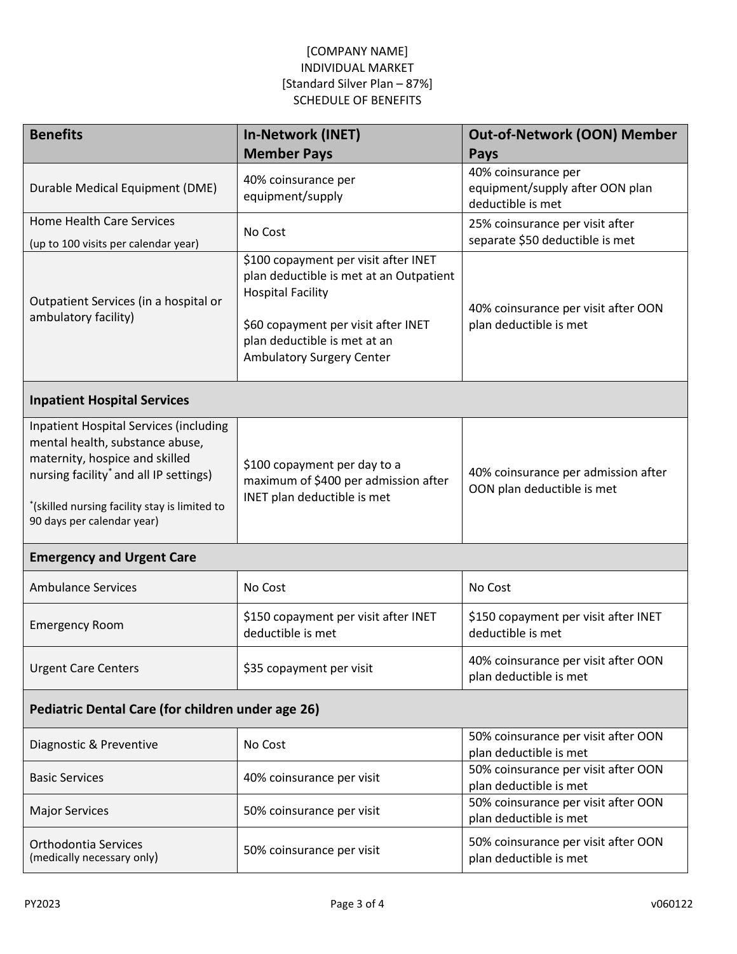| <b>Benefits</b>                                                                                                                                                                                                                                         | <b>In-Network (INET)</b><br><b>Member Pays</b>                                                                                                                                                                  | <b>Out-of-Network (OON) Member</b><br>Pays                                  |  |  |
|---------------------------------------------------------------------------------------------------------------------------------------------------------------------------------------------------------------------------------------------------------|-----------------------------------------------------------------------------------------------------------------------------------------------------------------------------------------------------------------|-----------------------------------------------------------------------------|--|--|
| Durable Medical Equipment (DME)                                                                                                                                                                                                                         | 40% coinsurance per<br>equipment/supply                                                                                                                                                                         | 40% coinsurance per<br>equipment/supply after OON plan<br>deductible is met |  |  |
| <b>Home Health Care Services</b><br>(up to 100 visits per calendar year)                                                                                                                                                                                | No Cost                                                                                                                                                                                                         | 25% coinsurance per visit after<br>separate \$50 deductible is met          |  |  |
| Outpatient Services (in a hospital or<br>ambulatory facility)                                                                                                                                                                                           | \$100 copayment per visit after INET<br>plan deductible is met at an Outpatient<br><b>Hospital Facility</b><br>\$60 copayment per visit after INET<br>plan deductible is met at an<br>Ambulatory Surgery Center | 40% coinsurance per visit after OON<br>plan deductible is met               |  |  |
| <b>Inpatient Hospital Services</b>                                                                                                                                                                                                                      |                                                                                                                                                                                                                 |                                                                             |  |  |
| <b>Inpatient Hospital Services (including</b><br>mental health, substance abuse,<br>maternity, hospice and skilled<br>nursing facility <sup>*</sup> and all IP settings)<br>*(skilled nursing facility stay is limited to<br>90 days per calendar year) | \$100 copayment per day to a<br>maximum of \$400 per admission after<br>INET plan deductible is met                                                                                                             | 40% coinsurance per admission after<br>OON plan deductible is met           |  |  |
| <b>Emergency and Urgent Care</b>                                                                                                                                                                                                                        |                                                                                                                                                                                                                 |                                                                             |  |  |
| <b>Ambulance Services</b>                                                                                                                                                                                                                               | No Cost                                                                                                                                                                                                         | No Cost                                                                     |  |  |
| <b>Emergency Room</b>                                                                                                                                                                                                                                   | \$150 copayment per visit after INET<br>deductible is met                                                                                                                                                       | \$150 copayment per visit after INET<br>deductible is met                   |  |  |
| Urgent Care Centers                                                                                                                                                                                                                                     | \$35 copayment per visit                                                                                                                                                                                        | 40% coinsurance per visit after OON<br>plan deductible is met               |  |  |
| Pediatric Dental Care (for children under age 26)                                                                                                                                                                                                       |                                                                                                                                                                                                                 |                                                                             |  |  |
| Diagnostic & Preventive                                                                                                                                                                                                                                 | No Cost                                                                                                                                                                                                         | 50% coinsurance per visit after OON<br>plan deductible is met               |  |  |
| <b>Basic Services</b>                                                                                                                                                                                                                                   | 40% coinsurance per visit                                                                                                                                                                                       | 50% coinsurance per visit after OON<br>plan deductible is met               |  |  |
| <b>Major Services</b>                                                                                                                                                                                                                                   | 50% coinsurance per visit                                                                                                                                                                                       | 50% coinsurance per visit after OON<br>plan deductible is met               |  |  |
| Orthodontia Services<br>(medically necessary only)                                                                                                                                                                                                      | 50% coinsurance per visit                                                                                                                                                                                       | 50% coinsurance per visit after OON<br>plan deductible is met               |  |  |